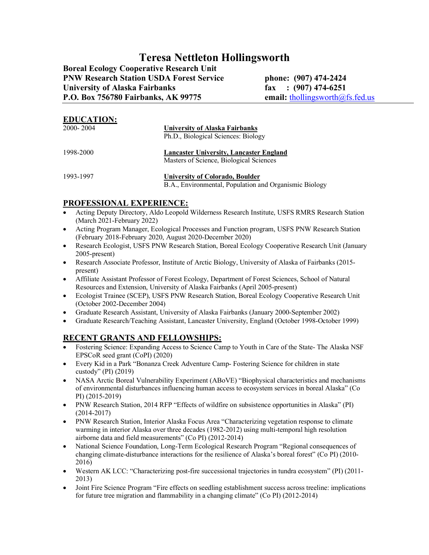# **Teresa Nettleton Hollingsworth**

**Boreal Ecology Cooperative Research Unit PNW Research Station USDA Forest Service phone: (907) 474-2424 University of Alaska Fairbanks fax : (907) 474-6251** P.O. Box 756780 Fairbanks, AK 99775 email: **[thollingsworth@fs.fed.us](mailto:thollingsworth@fs.fed.us)** 

| <b>EDUCATION:</b><br>$2000 - 2004$ | University of Alaska Fairbanks<br>Ph.D., Biological Sciences: Biology                     |
|------------------------------------|-------------------------------------------------------------------------------------------|
| 1998-2000                          | Lancaster University, Lancaster England<br>Masters of Science, Biological Sciences        |
| 1993-1997                          | University of Colorado, Boulder<br>B.A., Environmental, Population and Organismic Biology |

### **PROFESSIONAL EXPERIENCE:**

- Acting Deputy Directory, Aldo Leopold Wilderness Research Institute, USFS RMRS Research Station (March 2021-February 2022)
- Acting Program Manager, Ecological Processes and Function program, USFS PNW Research Station (February 2018-February 2020, August 2020-December 2020)
- Research Ecologist, USFS PNW Research Station, Boreal Ecology Cooperative Research Unit (January 2005-present)
- Research Associate Professor, Institute of Arctic Biology, University of Alaska of Fairbanks (2015 present)
- Affiliate Assistant Professor of Forest Ecology, Department of Forest Sciences, School of Natural Resources and Extension, University of Alaska Fairbanks (April 2005-present)
- Ecologist Trainee (SCEP), USFS PNW Research Station, Boreal Ecology Cooperative Research Unit (October 2002-December 2004)
- Graduate Research Assistant, University of Alaska Fairbanks (January 2000-September 2002)
- Graduate Research/Teaching Assistant, Lancaster University, England (October 1998-October 1999)

# **RECENT GRANTS AND FELLOWSHIPS:**

- Fostering Science: Expanding Access to Science Camp to Youth in Care of the State- The Alaska NSF EPSCoR seed grant (CoPI) (2020)
- Every Kid in a Park "Bonanza Creek Adventure Camp- Fostering Science for children in state custody" (PI) (2019)
- NASA Arctic Boreal Vulnerability Experiment (ABoVE) "Biophysical characteristics and mechanisms of environmental disturbances influencing human access to ecosystem services in boreal Alaska" (Co PI) (2015-2019)
- PNW Research Station, 2014 RFP "Effects of wildfire on subsistence opportunities in Alaska" (PI) (2014-2017)
- PNW Research Station, Interior Alaska Focus Area "Characterizing vegetation response to climate warming in interior Alaska over three decades (1982-2012) using multi-temporal high resolution airborne data and field measurements" (Co PI) (2012-2014)
- National Science Foundation, Long-Term Ecological Research Program "Regional consequences of changing climate-disturbance interactions for the resilience of Alaska's boreal forest" (Co PI) (2010- 2016)
- Western AK LCC: "Characterizing post-fire successional trajectories in tundra ecosystem" (PI) (2011- 2013)
- Joint Fire Science Program "Fire effects on seedling establishment success across treeline: implications for future tree migration and flammability in a changing climate" (Co PI) (2012-2014)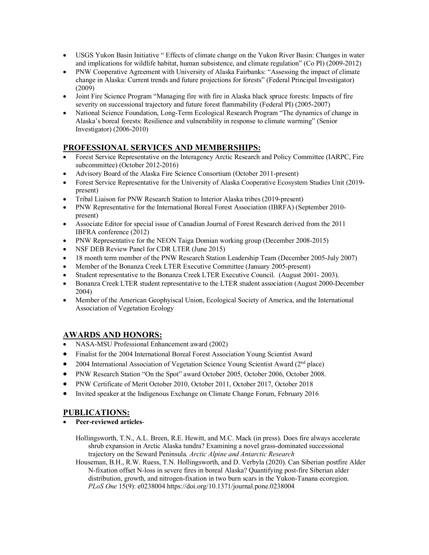- USGS Yukon Basin Initiative " Effects of climate change on the Yukon River Basin: Changes in water and implications for wildlife habitat, human subsistence, and climate regulation" (Co PI) (2009-2012)
- PNW Cooperative Agreement with University of Alaska Fairbanks: "Assessing the impact of climate change in Alaska: Current trends and future projections for forests" (Federal Principal Investigator) (2009)
- Joint Fire Science Program "Managing fire with fire in Alaska black spruce forests: Impacts of fire severity on successional trajectory and future forest flammability (Federal PI) (2005-2007)
- National Science Foundation, Long-Term Ecological Research Program "The dynamics of change in Alaska's boreal forests: Resilience and vulnerability in response to climate warming" (Senior Investigator) (2006-2010)

# **PROFESSIONAL SERVICES AND MEMBERSHIPS:**

- Forest Service Representative on the Interagency Arctic Research and Policy Committee (IARPC, Fire subcommittee) (October 2012-2016)
- Advisory Board of the Alaska Fire Science Consortium (October 2011-present)
- Forest Service Representative for the University of Alaska Cooperative Ecosystem Studies Unit (2019present)
- Tribal Liaison for PNW Research Station to Interior Alaska tribes (2019-present)
- PNW Representative for the International Boreal Forest Association (IBRFA) (September 2010present)
- Associate Editor for special issue of Canadian Journal of Forest Research derived from the 2011 IBFRA conference (2012)
- PNW Representative for the NEON Taiga Domian working group (December 2008-2015)
- NSF DEB Review Panel for CDR LTER (June 2015)
- 18 month term member of the PNW Research Station Leadership Team (December 2005-July 2007)
- Member of the Bonanza Creek LTER Executive Committee (January 2005-present)
- Student representative to the Bonanza Creek LTER Executive Council. (August 2001- 2003).
- Bonanza Creek LTER student representative to the LTER student association (August 2000-December 2004)
- Member of the American Geophyiscal Union, Ecological Society of America, and the International Association of Vegetation Ecology

### **AWARDS AND HONORS:**

- NASA-MSU Professional Enhancement award (2002)
- Finalist for the 2004 International Boreal Forest Association Young Scientist Award
- 2004 International Association of Vegetation Science Young Scientist Award ( $2<sup>nd</sup>$  place)
- PNW Research Station "On the Spot" award October 2005, October 2006, October 2008.
- PNW Certificate of Merit October 2010, October 2011, October 2017, October 2018
- Invited speaker at the Indigenous Exchange on Climate Change Forum, February 2016

### **PUBLICATIONS:**

- **Peer-reviewed articles**-
	- Hollingsworth, T.N., A.L. Breen, R.E. Hewitt, and M.C. Mack (in press). Does fire always accelerate shrub expansion in Arctic Alaska tundra? Examining a novel grass-dominated successional trajectory on the Seward Peninsula. *Arctic Alpine and Antarctic Research*
	- Houseman, B.H., R.W. Ruess, T.N. Hollingsworth, and D. Verbyla (2020). Can Siberian postfire Alder N-fixation offset N-loss in severe fires in boreal Alaska? Quantifying post-fire Siberian alder distribution, growth, and nitrogen-fixation in two burn scars in the Yukon-Tanana ecoregion. *PLoS One* 15(9): e0238004 https://doi.org/10.1371/journal.pone.0238004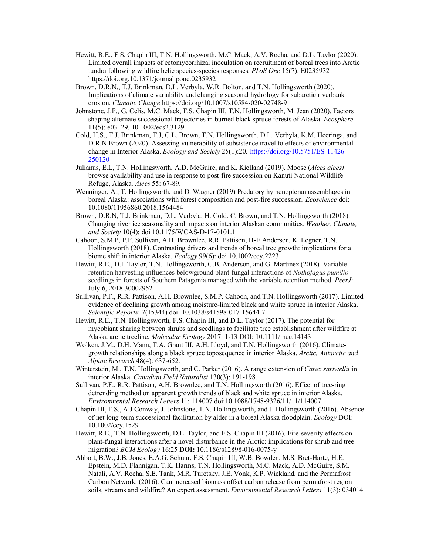- Hewitt, R.E., F.S. Chapin III, T.N. Hollingsworth, M.C. Mack, A.V. Rocha, and D.L. Taylor (2020). Limited overall impacts of ectomycorrhizal inoculation on recruitment of boreal trees into Arctic tundra following wildfire belie species-species responses. *PLoS One* 15(7): E0235932 https://doi.org.10.1371/journal.pone.0235932
- Brown, D.R.N., T.J. Brinkman, D.L. Verbyla, W.R. Bolton, and T.N. Hollingsworth (2020). Implications of climate variability and changing seasonal hydrology for subarctic riverbank erosion. *Climatic Change* https://doi.org/10.1007/s10584-020-02748-9
- Johnstone, J.F., G. Celis, M.C. Mack, F.S. Chapin III, T.N. Hollingsworth, M. Jean (2020). Factors shaping alternate successional trajectories in burned black spruce forests of Alaska. *Ecosphere* 11(5): e03129. 10.1002/ecs2.3129
- Cold, H.S., T.J. Brinkman, T.J, C.L. Brown, T.N. Hollingsworth, D.L. Verbyla, K.M. Heeringa, and D.R.N Brown (2020). Assessing vulnerability of subsistence travel to effects of environmental change in Interior Alaska. *Ecology and Society* 25(1):20. [https://doi.org/10.5751/ES-11426-](https://doi.org/10.5751/ES-11426-250120) [250120](https://doi.org/10.5751/ES-11426-250120)
- Julianus, E.L, T.N. Hollingsworth, A.D. McGuire, and K. Kielland (2019). Moose (*Alces alces)* browse availability and use in response to post-fire succession on Kanuti National Wildlife Refuge, Alaska. *Alces* 55: 67-89.
- Wenninger, A., T. Hollingsworth, and D. Wagner (2019) Predatory hymenopteran assemblages in boreal Alaska: associations with forest composition and post-fire succession. *Ecoscience* doi: 10.1080/11956860.2018.1564484
- Brown, D.R.N, T.J. Brinkman, D.L. Verbyla, H. Cold. C. Brown, and T.N. Hollingsworth (2018). Changing river ice seasonality and impacts on interior Alaskan communities. *Weather, Climate, and Society* 10(4): doi 10.1175/WCAS-D-17-0101.1
- Cahoon, S.M.P, P.F. Sullivan, A.H. Brownlee, R.R. Pattison, H-E Andersen, K. Legner, T.N. Hollingsworth (2018). Contrasting drivers and trends of boreal tree growth: implications for a biome shift in interior Alaska. *Ecology* 99(6): doi 10.1002/ecy.2223
- Hewitt, R.E., D.L Taylor, T.N. Hollingsworth, C.B. Anderson, and G. Martinez (2018). Variable retention harvesting influences belowground plant-fungal interactions of *Nothofagus pumilio* seedlings in forests of Southern Patagonia managed with the variable retention method. *PeerJ*: July 6, 2018 30002952
- Sullivan, P.F., R.R. Pattison, A.H. Brownlee, S.M.P. Cahoon, and T.N. Hollingsworth (2017). Limited evidence of declining growth among moisture-limited black and white spruce in interior Alaska. *Scientific Reports*: 7(15344) doi: 10.1038/s41598-017-15644-7.
- Hewitt, R.E., T.N. Hollingsworth, F.S. Chapin III, and D.L. Taylor (2017). The potential for mycobiant sharing between shrubs and seedlings to facilitate tree establishment after wildfire at Alaska arctic treeline. *Molecular Ecology* 2017: 1-13 DOI: 10.1111/mec.14143
- Wolken, J.M., D.H. Mann, T.A. Grant III, A.H. Lloyd, and T.N. Hollingsworth (2016). Climategrowth relationships along a black spruce toposequence in interior Alaska. *Arctic, Antarctic and Alpine Research* 48(4): 637-652.
- Winterstein, M., T.N. Hollingsworth, and C. Parker (2016). A range extension of *Carex sartwellii* in interior Alaska. *Canadian Field Naturalist* 130(3): 191-198.
- Sullivan, P.F., R.R. Pattison, A.H. Brownlee, and T.N. Hollingsworth (2016). Effect of tree-ring detrending method on apparent growth trends of black and white spruce in interior Alaska. *Environmental Research Letters* 11: 114007 doi:10.1088/1748-9326/11/11/114007
- Chapin III, F.S., A.J Conway, J. Johnstone, T.N. Hollingsworth, and J. Hollingsworth (2016). Absence of net long-term successional facilitation by alder in a boreal Alaska floodplain. *Ecology* DOI: 10.1002/ecy.1529
- Hewitt, R.E., T.N. Hollingsworth, D.L. Taylor, and F.S. Chapin III (2016). Fire-severity effects on plant-fungal interactions after a novel disturbance in the Arctic: implications for shrub and tree migration? *BCM Ecology* 16:25 **DOI:** 10.1186/s12898-016-0075-y
- Abbott, B.W., J.B. Jones, E.A.G. Schuur, F.S. Chapin III, W.B. Bowden, M.S. Bret-Harte, H.E. Epstein, M.D. Flannigan, T.K. Harms, T.N. Hollingsworth, M.C. Mack, A.D. McGuire, S.M. Natali, A.V. Rocha, S.E. Tank, M.R. Turetsky, J.E. Vonk, K.P. Wickland, and the Permafrost Carbon Network. (2016). Can increased biomass offset carbon release from permafrost region soils, streams and wildfire? An expert assessment. *Environmental Research Letters* 11(3): 034014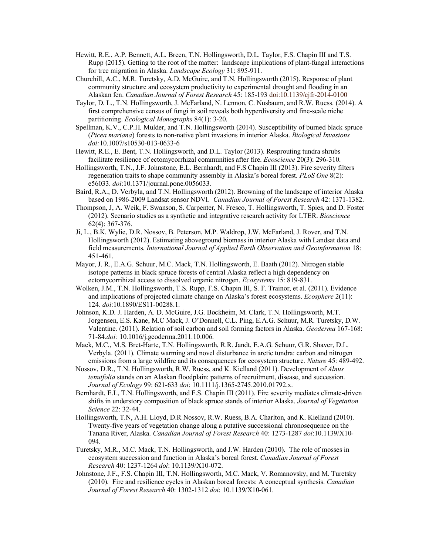- Hewitt, R.E., A.P. Bennett, A.L. Breen, T.N. Hollingsworth, D.L. Taylor, F.S. Chapin III and T.S. Rupp (2015). Getting to the root of the matter: landscape implications of plant-fungal interactions for tree migration in Alaska. *Landscape Ecology* 31: 895-911.
- Churchill, A.C., M.R. Turetsky, A.D. McGuire, and T.N. Hollingsworth (2015). Response of plant community structure and ecosystem productivity to experimental drought and flooding in an Alaskan fen. *Canadian Journal of Forest Research* 45: 185-193 doi:10.1139/cjfr-2014-0100
- Taylor, D. L., T.N. Hollingsworth, J. McFarland, N. Lennon, C. Nusbaum, and R.W. Ruess. (2014). A first comprehensive census of fungi in soil reveals both hyperdiversity and fine-scale niche partitioning. *Ecological Monographs* 84(1): 3-20.
- Spellman, K.V., C.P.H. Mulder, and T.N. Hollingsworth (2014). Susceptibility of burned black spruce (*Picea mariana*) forests to non-native plant invasions in interior Alaska. *Biological Invasions doi:*10.1007/s10530-013-0633-6
- Hewitt, R.E., E. Bent, T.N. Hollingsworth, and D.L. Taylor (2013). Resprouting tundra shrubs facilitate resilience of ectomycorrhizal communities after fire. *Ecoscience* 20(3): 296-310.
- Hollingsworth, T.N., J.F. Johnstone, E.L. Bernhardt, and F.S Chapin III (2013). Fire severity filters regeneration traits to shape community assembly in Alaska's boreal forest. *PLoS One* 8(2): e56033. *doi*:10.1371/journal.pone.0056033.
- Baird, R.A., D. Verbyla, and T.N. Hollingsworth (2012). Browning of the landscape of interior Alaska based on 1986-2009 Landsat sensor NDVI. *Canadian Journal of Forest Research* 42: 1371-1382.
- Thompson, J, A. Weik, F. Swanson, S. Carpenter, N. Fresco, T. Hollingsworth, T. Spies, and D. Foster (2012). Scenario studies as a synthetic and integrative research activity for LTER. *Bioscience* 62(4): 367-376.
- Ji, L., B.K. Wylie, D.R. Nossov, B. Peterson, M.P. Waldrop, J.W. McFarland, J. Rover, and T.N. Hollingsworth (2012). Estimating aboveground biomass in interior Alaska with Landsat data and field measurements. *International Journal of Applied Earth Observation and Geoinformation* 18: 451-461.
- Mayor, J. R., E.A.G. Schuur, M.C. Mack, T.N. Hollingsworth, E. Baath (2012). Nitrogen stable isotope patterns in black spruce forests of central Alaska reflect a high dependency on ectomycorrihizal access to dissolved organic nitrogen. *Ecosystems* 15: 819-831.
- Wolken, J.M., T.N. Hollingsworth, T.S. Rupp, F.S. Chapin III, S. F. Trainor, et al. (2011). Evidence and implications of projected climate change on Alaska's forest ecosystems. *Ecosphere* 2(11): 124. *doi*:10.1890/ES11-00288.1.
- Johnson, K.D. J. Harden, A. D. McGuire, J.G. Bockheim, M. Clark, T.N. Hollingsworth, M.T. Jorgensen, E.S. Kane, M.C Mack, J. O'Donnell, C.L. Ping, E.A.G. Schuur, M.R. Turetsky, D.W. Valentine. (2011). Relation of soil carbon and soil forming factors in Alaska. *Geoderma* 167-168: 71-84.*doi:* 10.1016/j.geoderma.2011.10.006.
- Mack, M.C., M.S. Bret-Harte, T.N. Hollingsworth, R.R. Jandt, E.A.G. Schuur, G.R. Shaver, D.L. Verbyla. (2011). Climate warming and novel disturbance in arctic tundra: carbon and nitrogen emissions from a large wildfire and its consequences for ecosystem structure. *Nature* 45: 489-492.
- Nossov, D.R., T.N. Hollingsworth, R.W. Ruess, and K. Kielland (2011). Development of *Alnus tenuifolia* stands on an Alaskan floodplain: patterns of recruitment, disease, and succession. *Journal of Ecology* 99: 621-633 *doi*: 10.1111/j.1365-2745.2010.01792.x.
- Bernhardt, E.L, T.N. Hollingsworth, and F.S. Chapin III (2011). Fire severity mediates climate-driven shifts in understory composition of black spruce stands of interior Alaska. *Journal of Vegetation Science* 22: 32-44.
- Hollingsworth, T.N, A.H. Lloyd, D.R Nossov, R.W. Ruess, B.A. Charlton, and K. Kielland (2010). Twenty-five years of vegetation change along a putative successional chronosequence on the Tanana River, Alaska. *Canadian Journal of Forest Research* 40: 1273-1287 *doi*:10.1139/X10- 094.
- Turetsky, M.R., M.C. Mack, T.N. Hollingsworth, and J.W. Harden (2010). The role of mosses in ecosystem succession and function in Alaska's boreal forest. *Canadian Journal of Forest Research* 40: 1237-1264 *doi*: 10.1139/X10-072.
- Johnstone, J.F., F.S. Chapin III, T.N. Hollingsworth, M.C. Mack, V. Romanovsky, and M. Turetsky (2010). Fire and resilience cycles in Alaskan boreal forests: A conceptual synthesis. *Canadian Journal of Forest Research* 40: 1302-1312 *doi*: 10.1139/X10-061.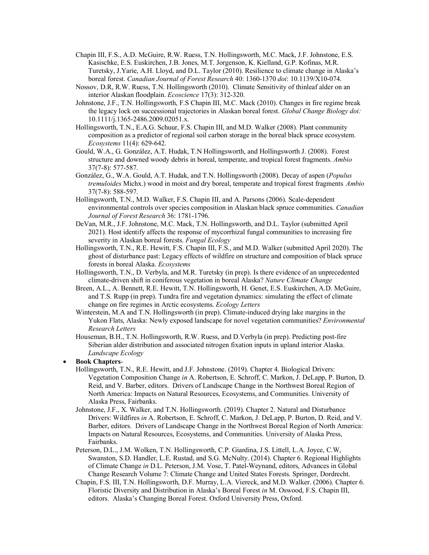- Chapin III, F.S., A.D. McGuire, R.W. Ruess, T.N. Hollingsworth, M.C. Mack, J.F. Johnstone, E.S. Kasischke, E.S. Euskirchen, J.B. Jones, M.T. Jorgenson, K. Kielland, G.P. Kofinas, M.R. Turetsky, J.Yarie, A.H. Lloyd, and D.L. Taylor (2010). Resilience to climate change in Alaska's boreal forest. *Canadian Journal of Forest Research* 40: 1360-1370 *doi*: 10.1139/X10-074.
- Nossov, D.R, R.W. Ruess, T.N. Hollingsworth (2010). Climate Sensitivity of thinleaf alder on an interior Alaskan floodplain. *Ecoscience* 17(3): 312-320.
- Johnstone, J.F., T.N. Hollingsworth, F.S Chapin III, M.C. Mack (2010). Changes in fire regime break the legacy lock on successional trajectories in Alaskan boreal forest. *Global Change Biology doi:*  10.1111/j.1365-2486.2009.02051.x.
- Hollingsworth, T.N., E.A.G. Schuur, F.S. Chapin III, and M.D. Walker (2008). Plant community composition as a predictor of regional soil carbon storage in the boreal black spruce ecosystem. *Ecosystems* 11(4): 629-642.
- Gould, W.A., G. González, A.T. Hudak, T.N Hollingsworth, and Hollingsworth J. (2008). Forest structure and downed woody debris in boreal, temperate, and tropical forest fragments. *Ambio* 37(7-8): 577-587.
- González, G., W.A. Gould, A.T. Hudak, and T.N. Hollingsworth (2008). Decay of aspen (*Populus tremuloides* Michx.) wood in moist and dry boreal, temperate and tropical forest fragments *Ambio* 37(7-8): 588-597.
- Hollingsworth, T.N., M.D. Walker, F.S. Chapin III, and A. Parsons (2006). Scale-dependent environmental controls over species composition in Alaskan black spruce communities. *Canadian Journal of Forest Research* 36: 1781-1796.
- DeVan, M.R., J.F. Johnstone, M.C. Mack, T.N. Hollingsworth, and D.L. Taylor (submitted April 2021). Host identify affects the response of mycorrhizal fungal communities to increasing fire severity in Alaskan boreal forests. *Fungal Ecology*
- Hollingsworth, T.N., R.E. Hewitt, F.S. Chapin III, F.S., and M.D. Walker (submitted April 2020). The ghost of disturbance past: Legacy effects of wildfire on structure and composition of black spruce forests in boreal Alaska. *Ecosystems*
- Hollingsworth, T.N., D. Verbyla, and M.R. Turetsky (in prep). Is there evidence of an unprecedented climate-driven shift in coniferous vegetation in boreal Alaska? *Nature Climate Change*
- Breen, A.L., A. Bennett, R.E. Hewitt, T.N. Hollingsworth, H. Genet, E.S. Euskirchen, A.D. McGuire, and T.S. Rupp (in prep). Tundra fire and vegetation dynamics: simulating the effect of climate change on fire regimes in Arctic ecosystems. *Ecology Letters*
- Winterstein, M.A and T.N. Hollingsworth (in prep). Climate-induced drying lake margins in the Yukon Flats, Alaska: Newly exposed landscape for novel vegetation communities? *Environmental Research Letters*
- Houseman, B.H., T.N. Hollingsworth, R.W. Ruess, and D.Verbyla (in prep). Predicting post-fire Siberian alder distribution and associated nitrogen fixation inputs in upland interior Alaska. *Landscape Ecology*

#### • **Book Chapters**-

- Hollingsworth, T.N., R.E. Hewitt, and J.F. Johnstone. (2019). Chapter 4. Biological Drivers: Vegetation Composition Change *in* A. Robertson, E. Schroff, C. Markon, J. DeLapp, P. Burton, D. Reid, and V. Barber, editors. Drivers of Landscape Change in the Northwest Boreal Region of North America: Impacts on Natural Resources, Ecosystems, and Communities. University of Alaska Press, Fairbanks.
- Johnstone, J.F., X. Walker, and T.N. Hollingsworth. (2019). Chapter 2. Natural and Disturbance Drivers: Wildfires *in* A. Robertson, E. Schroff, C. Markon, J. DeLapp, P. Burton, D. Reid, and V. Barber, editors. Drivers of Landscape Change in the Northwest Boreal Region of North America: Impacts on Natural Resources, Ecosystems, and Communities. University of Alaska Press, Fairbanks.
- Peterson, D.L., J.M. Wolken, T.N. Hollingsworth, C.P. Giardina, J.S. Littell, L.A. Joyce, C.W, Swanston, S.D. Handler, L.E. Rustad, and S.G. McNulty. (2014). Chapter 6. Regional Highlights of Climate Change *in* D.L. Peterson, J.M. Vose, T. Patel-Weynand, editors, Advances in Global Change Research Volume 7: Climate Change and United States Forests. Springer, Dordrecht.
- Chapin, F.S. III, T.N. Hollingsworth, D.F. Murray, L.A. Viereck, and M.D. Walker. (2006). Chapter 6. Floristic Diversity and Distribution in Alaska's Boreal Forest *in* M. Oswood, F.S. Chapin III, editors. Alaska's Changing Boreal Forest. Oxford University Press, Oxford.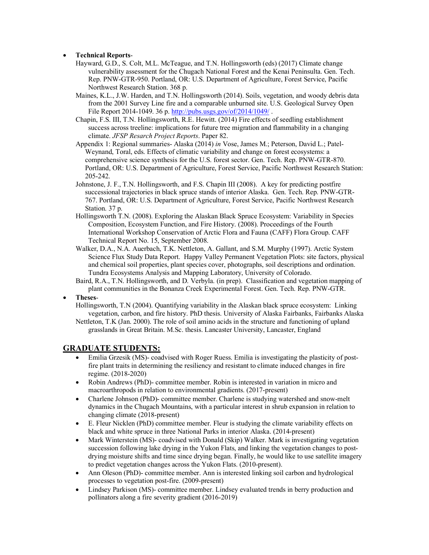#### • **Technical Reports**-

- Hayward, G.D., S. Colt, M.L. McTeague, and T.N. Hollingsworth (eds) (2017) Climate change vulnerability assessment for the Chugach National Forest and the Kenai Peninsulta. Gen. Tech. Rep. PNW-GTR-950. Portland, OR: U.S. Department of Agriculture, Forest Service, Pacific Northwest Research Station. 368 p.
- Maines, K.L., J.W. Harden, and T.N. Hollingsworth (2014). Soils, vegetation, and woody debris data from the 2001 Survey Line fire and a comparable unburned site. U.S. Geological Survey Open File Report 2014-1049. 36 p[. http://pubs.usgs.gov/of/2014/1049/](http://pubs.usgs.gov/of/2014/1049/).
- Chapin, F.S. III, T.N. Hollingsworth, R.E. Hewitt. (2014) Fire effects of seedling establishment success across treeline: implications for future tree migration and flammability in a changing climate. *JFSP Resarch Project Reports*. Paper 82.
- Appendix 1: Regional summaries- Alaska (2014) *in* Vose, James M.; Peterson, David L.; Patel-Weynand, Toral, eds. Effects of climatic variability and change on forest ecosystems: a comprehensive science synthesis for the U.S. forest sector. Gen. Tech. Rep. PNW-GTR-870. Portland, OR: U.S. Department of Agriculture, Forest Service, Pacific Northwest Research Station: 205-242.
- Johnstone, J. F., T.N. Hollingsworth, and F.S. Chapin III (2008). A key for predicting postfire successional trajectories in black spruce stands of interior Alaska. Gen. Tech. Rep. PNW-GTR-767. Portland, OR: U.S. Department of Agriculture, Forest Service, Pacific Northwest Research Station. 37 p.
- Hollingsworth T.N. (2008). Exploring the Alaskan Black Spruce Ecosystem: Variability in Species Composition, Ecosystem Function, and Fire History. (2008). Proceedings of the Fourth International Workshop Conservation of Arctic Flora and Fauna (CAFF) Flora Group. CAFF Technical Report No. 15, September 2008.
- Walker, D.A., N.A. Auerbach, T.K. Nettleton, A. Gallant, and S.M. Murphy (1997). Arctic System Science Flux Study Data Report. Happy Valley Permanent Vegetation Plots: site factors, physical and chemical soil properties, plant species cover, photographs, soil descriptions and ordination. Tundra Ecosystems Analysis and Mapping Laboratory, University of Colorado.
- Baird, R.A., T.N. Hollingsworth, and D. Verbyla. (in prep). Classification and vegetation mapping of plant communities in the Bonanza Creek Experimental Forest. Gen. Tech. Rep. PNW-GTR.
- **Theses**-

Hollingsworth, T.N (2004). Quantifying variability in the Alaskan black spruce ecosystem: Linking vegetation, carbon, and fire history. PhD thesis. University of Alaska Fairbanks, Fairbanks Alaska

Nettleton, T.K (Jan. 2000). The role of soil amino acids in the structure and functioning of upland grasslands in Great Britain. M.Sc. thesis. Lancaster University, Lancaster, England

#### **GRADUATE STUDENTS:**

- Emilia Grzesik (MS)- coadvised with Roger Ruess. Emilia is investigating the plasticity of postfire plant traits in determining the resiliency and resistant to climate induced changes in fire regime. (2018-2020)
- Robin Andrews (PhD)- committee member. Robin is interested in variation in micro and macroarthropods in relation to environmental gradients. (2017-present)
- Charlene Johnson (PhD)- committee member. Charlene is studying watershed and snow-melt dynamics in the Chugach Mountains, with a particular interest in shrub expansion in relation to changing climate (2018-present)
- E. Fleur Nicklen (PhD) committee member. Fleur is studying the climate variability effects on black and white spruce in three National Parks in interior Alaska. (2014-present)
- Mark Winterstein (MS)- coadvised with Donald (Skip) Walker. Mark is investigating vegetation succession following lake drying in the Yukon Flats, and linking the vegetation changes to postdrying moisture shifts and time since drying began. Finally, he would like to use satellite imagery to predict vegetation changes across the Yukon Flats. (2010-present).
- Ann Oleson (PhD)- committee member. Ann is interested linking soil carbon and hydrological processes to vegetation post-fire. (2009-present)
- Lindsey Parkison (MS)- committee member. Lindsey evaluated trends in berry production and pollinators along a fire severity gradient (2016-2019)